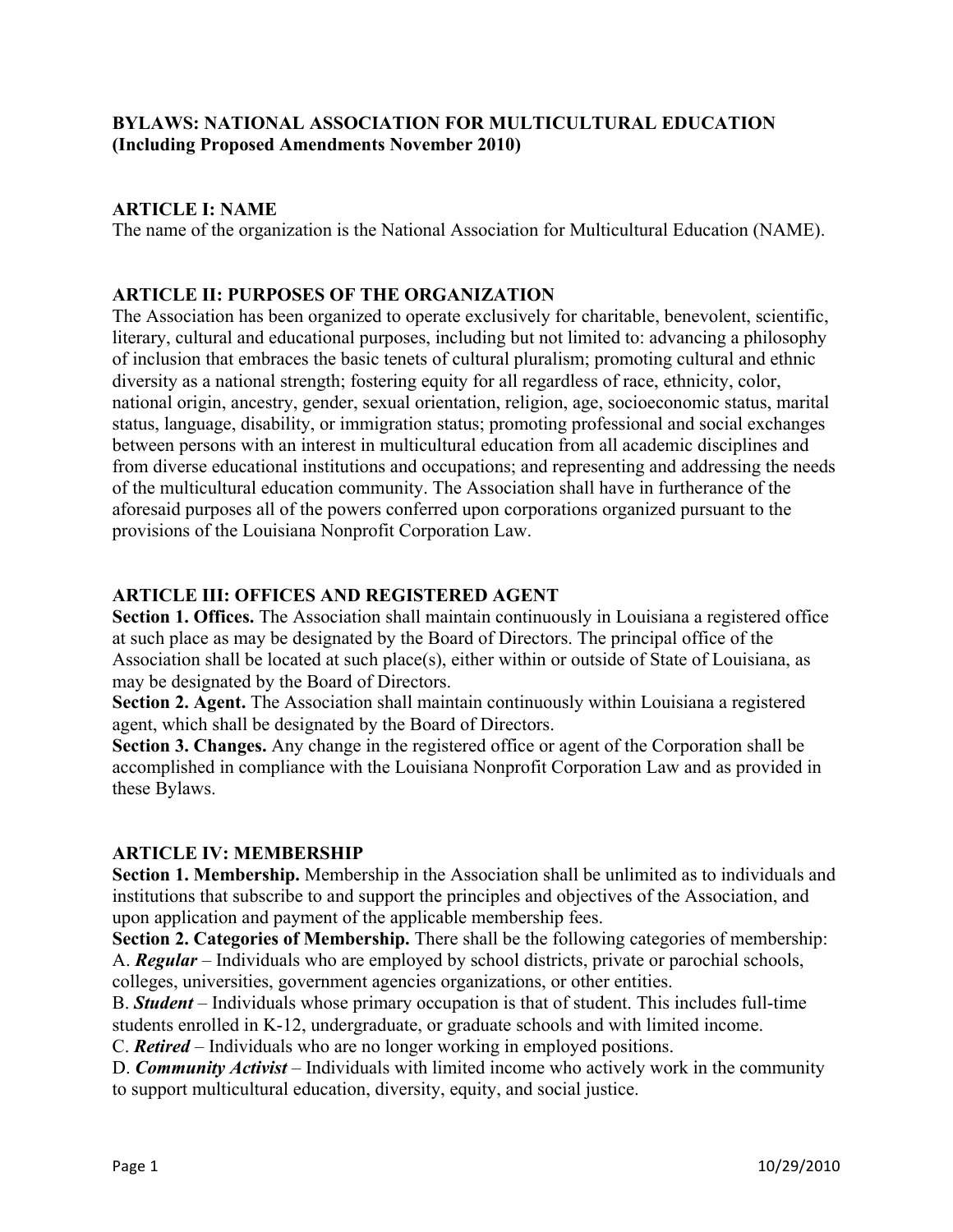## **BYLAWS: NATIONAL ASSOCIATION FOR MULTICULTURAL EDUCATION (Including Proposed Amendments November 2010)**

## **ARTICLE I: NAME**

The name of the organization is the National Association for Multicultural Education (NAME).

### **ARTICLE II: PURPOSES OF THE ORGANIZATION**

The Association has been organized to operate exclusively for charitable, benevolent, scientific, literary, cultural and educational purposes, including but not limited to: advancing a philosophy of inclusion that embraces the basic tenets of cultural pluralism; promoting cultural and ethnic diversity as a national strength; fostering equity for all regardless of race, ethnicity, color, national origin, ancestry, gender, sexual orientation, religion, age, socioeconomic status, marital status, language, disability, or immigration status; promoting professional and social exchanges between persons with an interest in multicultural education from all academic disciplines and from diverse educational institutions and occupations; and representing and addressing the needs of the multicultural education community. The Association shall have in furtherance of the aforesaid purposes all of the powers conferred upon corporations organized pursuant to the provisions of the Louisiana Nonprofit Corporation Law.

### **ARTICLE III: OFFICES AND REGISTERED AGENT**

**Section 1. Offices.** The Association shall maintain continuously in Louisiana a registered office at such place as may be designated by the Board of Directors. The principal office of the Association shall be located at such place(s), either within or outside of State of Louisiana, as may be designated by the Board of Directors.

**Section 2. Agent.** The Association shall maintain continuously within Louisiana a registered agent, which shall be designated by the Board of Directors.

**Section 3. Changes.** Any change in the registered office or agent of the Corporation shall be accomplished in compliance with the Louisiana Nonprofit Corporation Law and as provided in these Bylaws.

## **ARTICLE IV: MEMBERSHIP**

**Section 1. Membership.** Membership in the Association shall be unlimited as to individuals and institutions that subscribe to and support the principles and objectives of the Association, and upon application and payment of the applicable membership fees.

**Section 2. Categories of Membership.** There shall be the following categories of membership: A. *Regular* – Individuals who are employed by school districts, private or parochial schools, colleges, universities, government agencies organizations, or other entities.

B. *Student* – Individuals whose primary occupation is that of student. This includes full-time students enrolled in K-12, undergraduate, or graduate schools and with limited income.

C. *Retired* – Individuals who are no longer working in employed positions.

D. *Community Activist* – Individuals with limited income who actively work in the community to support multicultural education, diversity, equity, and social justice.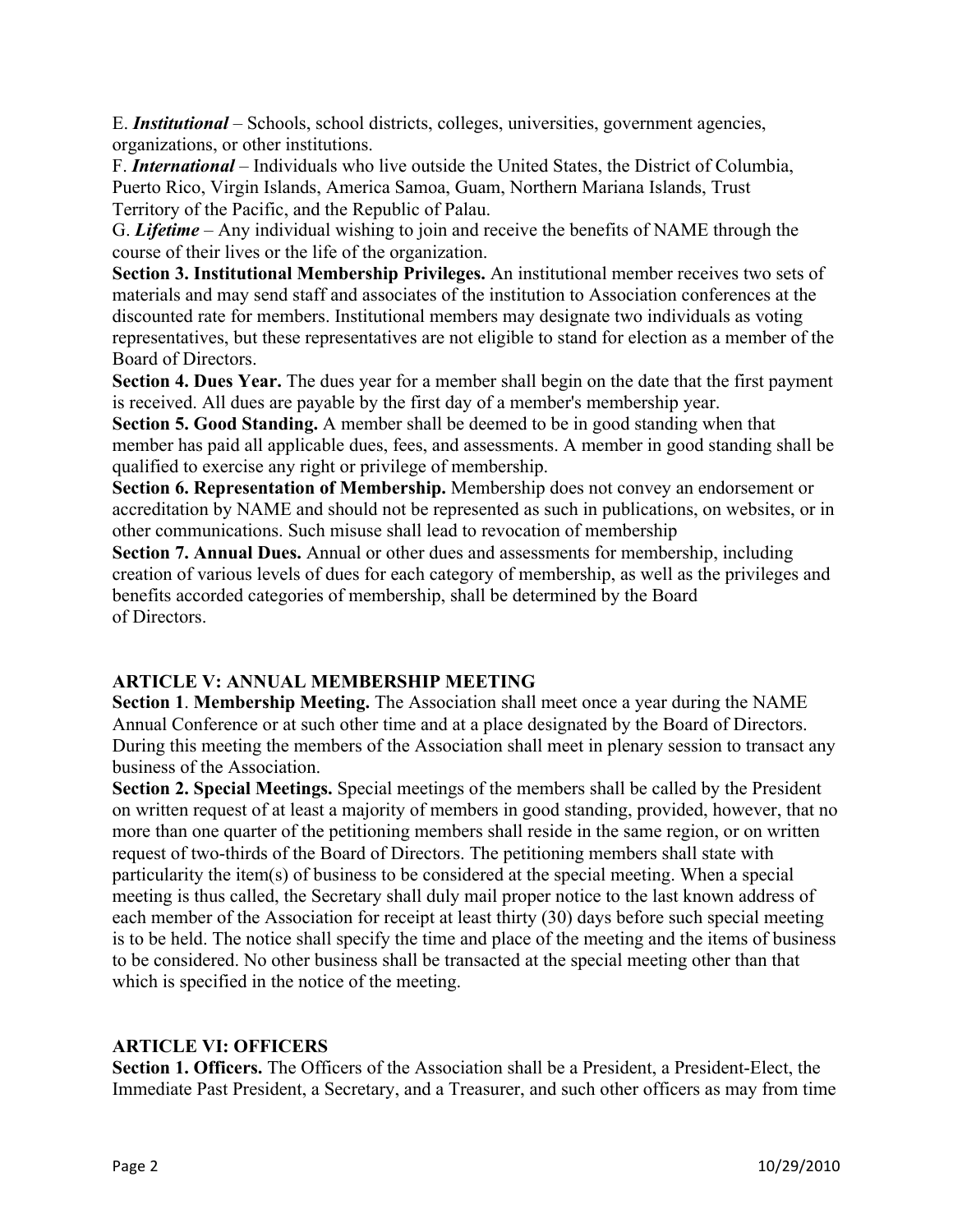E. *Institutional* – Schools, school districts, colleges, universities, government agencies, organizations, or other institutions.

F. *International* – Individuals who live outside the United States, the District of Columbia, Puerto Rico, Virgin Islands, America Samoa, Guam, Northern Mariana Islands, Trust Territory of the Pacific, and the Republic of Palau.

G. *Lifetime* – Any individual wishing to join and receive the benefits of NAME through the course of their lives or the life of the organization.

**Section 3. Institutional Membership Privileges.** An institutional member receives two sets of materials and may send staff and associates of the institution to Association conferences at the discounted rate for members. Institutional members may designate two individuals as voting representatives, but these representatives are not eligible to stand for election as a member of the Board of Directors.

**Section 4. Dues Year.** The dues year for a member shall begin on the date that the first payment is received. All dues are payable by the first day of a member's membership year.

**Section 5. Good Standing.** A member shall be deemed to be in good standing when that member has paid all applicable dues, fees, and assessments. A member in good standing shall be qualified to exercise any right or privilege of membership.

**Section 6. Representation of Membership.** Membership does not convey an endorsement or accreditation by NAME and should not be represented as such in publications, on websites, or in other communications. Such misuse shall lead to revocation of membership

**Section 7. Annual Dues.** Annual or other dues and assessments for membership, including creation of various levels of dues for each category of membership, as well as the privileges and benefits accorded categories of membership, shall be determined by the Board of Directors.

## **ARTICLE V: ANNUAL MEMBERSHIP MEETING**

**Section 1**. **Membership Meeting.** The Association shall meet once a year during the NAME Annual Conference or at such other time and at a place designated by the Board of Directors. During this meeting the members of the Association shall meet in plenary session to transact any business of the Association.

**Section 2. Special Meetings.** Special meetings of the members shall be called by the President on written request of at least a majority of members in good standing, provided, however, that no more than one quarter of the petitioning members shall reside in the same region, or on written request of two-thirds of the Board of Directors. The petitioning members shall state with particularity the item(s) of business to be considered at the special meeting. When a special meeting is thus called, the Secretary shall duly mail proper notice to the last known address of each member of the Association for receipt at least thirty (30) days before such special meeting is to be held. The notice shall specify the time and place of the meeting and the items of business to be considered. No other business shall be transacted at the special meeting other than that which is specified in the notice of the meeting.

## **ARTICLE VI: OFFICERS**

**Section 1. Officers.** The Officers of the Association shall be a President, a President-Elect, the Immediate Past President, a Secretary, and a Treasurer, and such other officers as may from time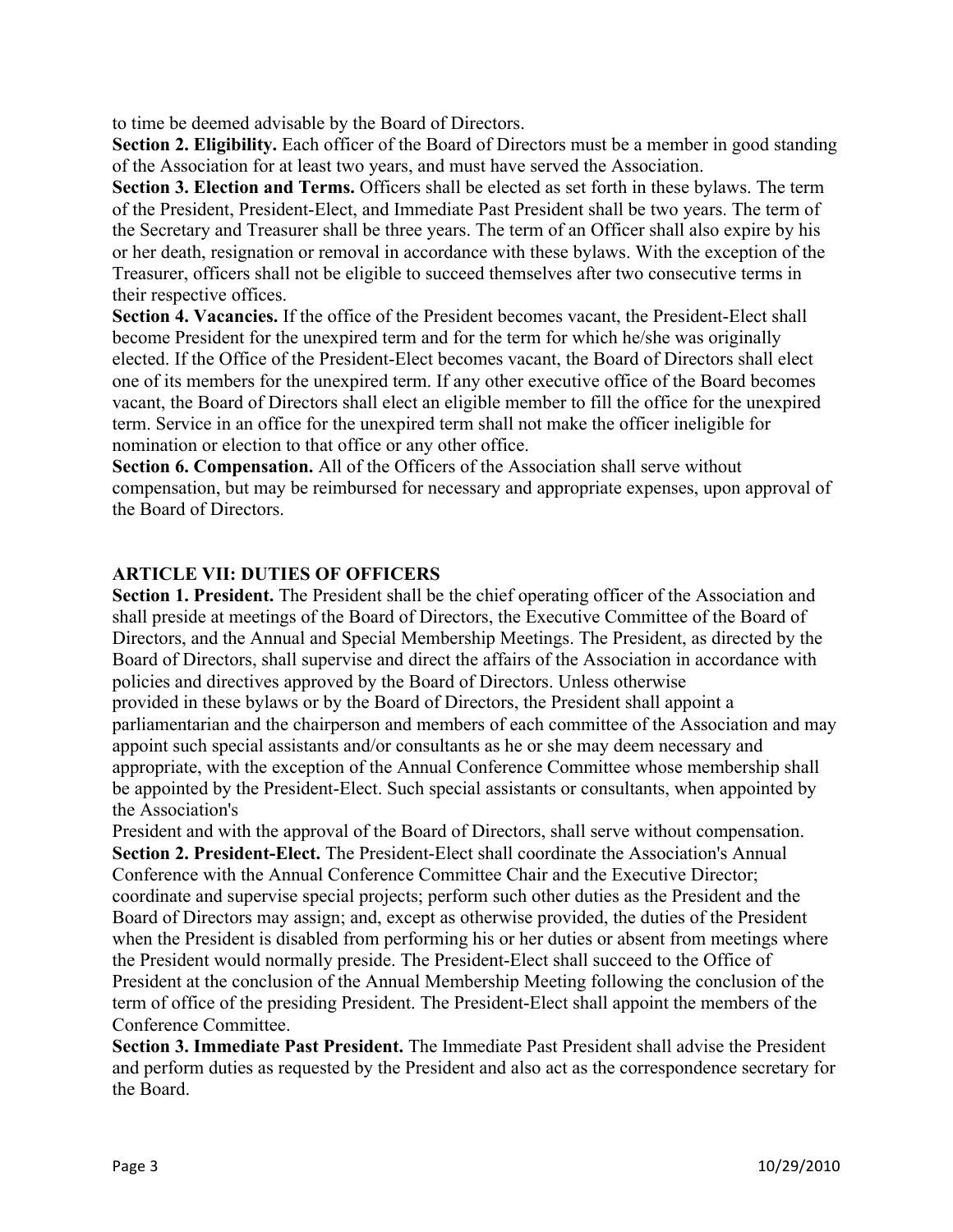to time be deemed advisable by the Board of Directors.

**Section 2. Eligibility.** Each officer of the Board of Directors must be a member in good standing of the Association for at least two years, and must have served the Association.

**Section 3. Election and Terms.** Officers shall be elected as set forth in these bylaws. The term of the President, President-Elect, and Immediate Past President shall be two years. The term of the Secretary and Treasurer shall be three years. The term of an Officer shall also expire by his or her death, resignation or removal in accordance with these bylaws. With the exception of the Treasurer, officers shall not be eligible to succeed themselves after two consecutive terms in their respective offices.

**Section 4. Vacancies.** If the office of the President becomes vacant, the President-Elect shall become President for the unexpired term and for the term for which he/she was originally elected. If the Office of the President-Elect becomes vacant, the Board of Directors shall elect one of its members for the unexpired term. If any other executive office of the Board becomes vacant, the Board of Directors shall elect an eligible member to fill the office for the unexpired term. Service in an office for the unexpired term shall not make the officer ineligible for nomination or election to that office or any other office.

**Section 6. Compensation.** All of the Officers of the Association shall serve without compensation, but may be reimbursed for necessary and appropriate expenses, upon approval of the Board of Directors.

### **ARTICLE VII: DUTIES OF OFFICERS**

**Section 1. President.** The President shall be the chief operating officer of the Association and shall preside at meetings of the Board of Directors, the Executive Committee of the Board of Directors, and the Annual and Special Membership Meetings. The President, as directed by the Board of Directors, shall supervise and direct the affairs of the Association in accordance with policies and directives approved by the Board of Directors. Unless otherwise provided in these bylaws or by the Board of Directors, the President shall appoint a parliamentarian and the chairperson and members of each committee of the Association and may appoint such special assistants and/or consultants as he or she may deem necessary and appropriate, with the exception of the Annual Conference Committee whose membership shall be appointed by the President-Elect. Such special assistants or consultants, when appointed by the Association's

President and with the approval of the Board of Directors, shall serve without compensation. **Section 2. President-Elect.** The President-Elect shall coordinate the Association's Annual Conference with the Annual Conference Committee Chair and the Executive Director; coordinate and supervise special projects; perform such other duties as the President and the Board of Directors may assign; and, except as otherwise provided, the duties of the President when the President is disabled from performing his or her duties or absent from meetings where the President would normally preside. The President-Elect shall succeed to the Office of President at the conclusion of the Annual Membership Meeting following the conclusion of the term of office of the presiding President. The President-Elect shall appoint the members of the Conference Committee.

**Section 3. Immediate Past President.** The Immediate Past President shall advise the President and perform duties as requested by the President and also act as the correspondence secretary for the Board.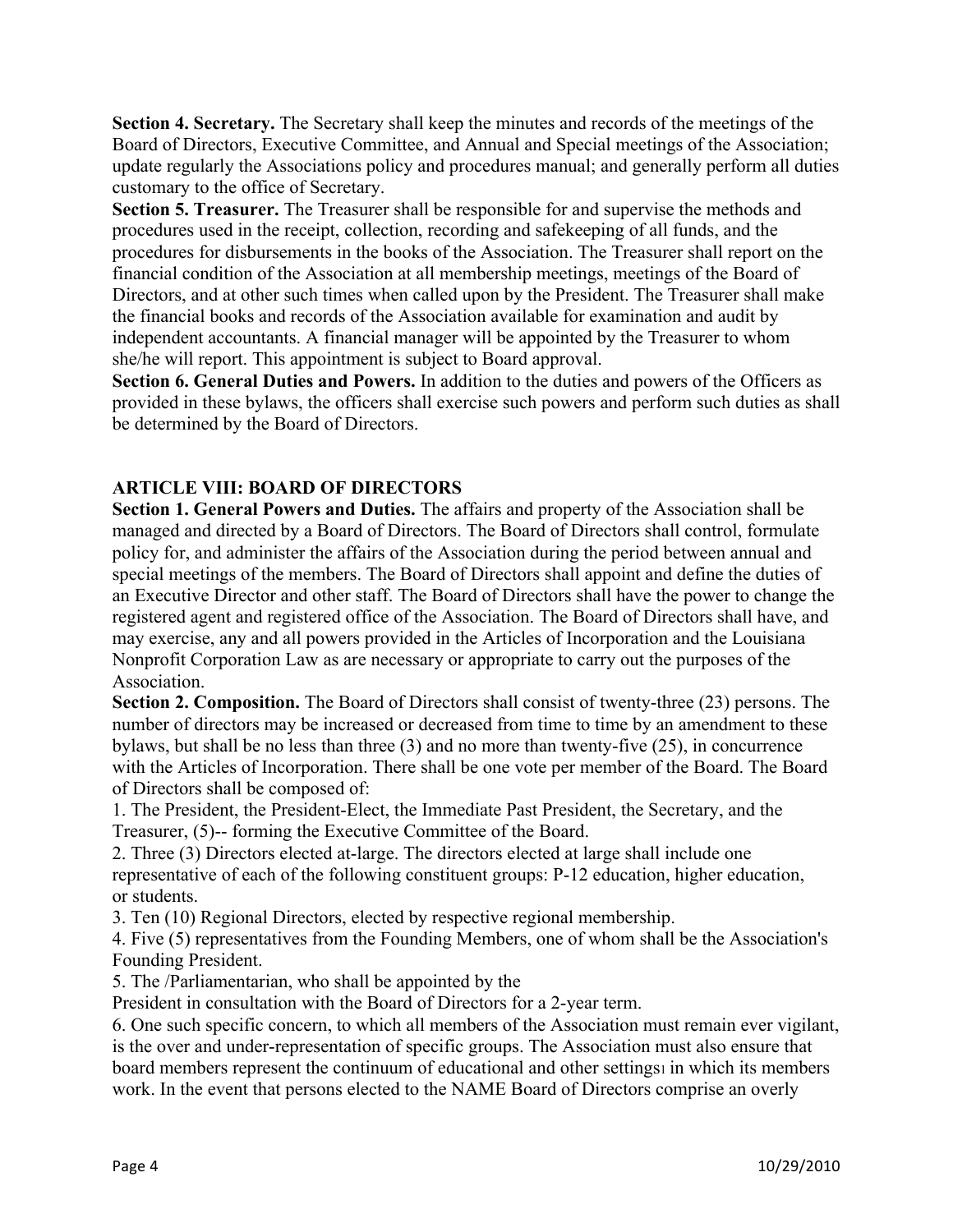**Section 4. Secretary.** The Secretary shall keep the minutes and records of the meetings of the Board of Directors, Executive Committee, and Annual and Special meetings of the Association; update regularly the Associations policy and procedures manual; and generally perform all duties customary to the office of Secretary.

**Section 5. Treasurer.** The Treasurer shall be responsible for and supervise the methods and procedures used in the receipt, collection, recording and safekeeping of all funds, and the procedures for disbursements in the books of the Association. The Treasurer shall report on the financial condition of the Association at all membership meetings, meetings of the Board of Directors, and at other such times when called upon by the President. The Treasurer shall make the financial books and records of the Association available for examination and audit by independent accountants. A financial manager will be appointed by the Treasurer to whom she/he will report. This appointment is subject to Board approval.

**Section 6. General Duties and Powers.** In addition to the duties and powers of the Officers as provided in these bylaws, the officers shall exercise such powers and perform such duties as shall be determined by the Board of Directors.

## **ARTICLE VIII: BOARD OF DIRECTORS**

**Section 1. General Powers and Duties.** The affairs and property of the Association shall be managed and directed by a Board of Directors. The Board of Directors shall control, formulate policy for, and administer the affairs of the Association during the period between annual and special meetings of the members. The Board of Directors shall appoint and define the duties of an Executive Director and other staff. The Board of Directors shall have the power to change the registered agent and registered office of the Association. The Board of Directors shall have, and may exercise, any and all powers provided in the Articles of Incorporation and the Louisiana Nonprofit Corporation Law as are necessary or appropriate to carry out the purposes of the Association.

**Section 2. Composition.** The Board of Directors shall consist of twenty-three (23) persons. The number of directors may be increased or decreased from time to time by an amendment to these bylaws, but shall be no less than three (3) and no more than twenty-five (25), in concurrence with the Articles of Incorporation. There shall be one vote per member of the Board. The Board of Directors shall be composed of:

1. The President, the President-Elect, the Immediate Past President, the Secretary, and the Treasurer, (5)-- forming the Executive Committee of the Board.

2. Three (3) Directors elected at-large. The directors elected at large shall include one representative of each of the following constituent groups: P-12 education, higher education, or students.

3. Ten (10) Regional Directors, elected by respective regional membership.

4. Five (5) representatives from the Founding Members, one of whom shall be the Association's Founding President.

5. The /Parliamentarian, who shall be appointed by the

President in consultation with the Board of Directors for a 2-year term.

6. One such specific concern, to which all members of the Association must remain ever vigilant, is the over and under-representation of specific groups. The Association must also ensure that board members represent the continuum of educational and other settings1 in which its members work. In the event that persons elected to the NAME Board of Directors comprise an overly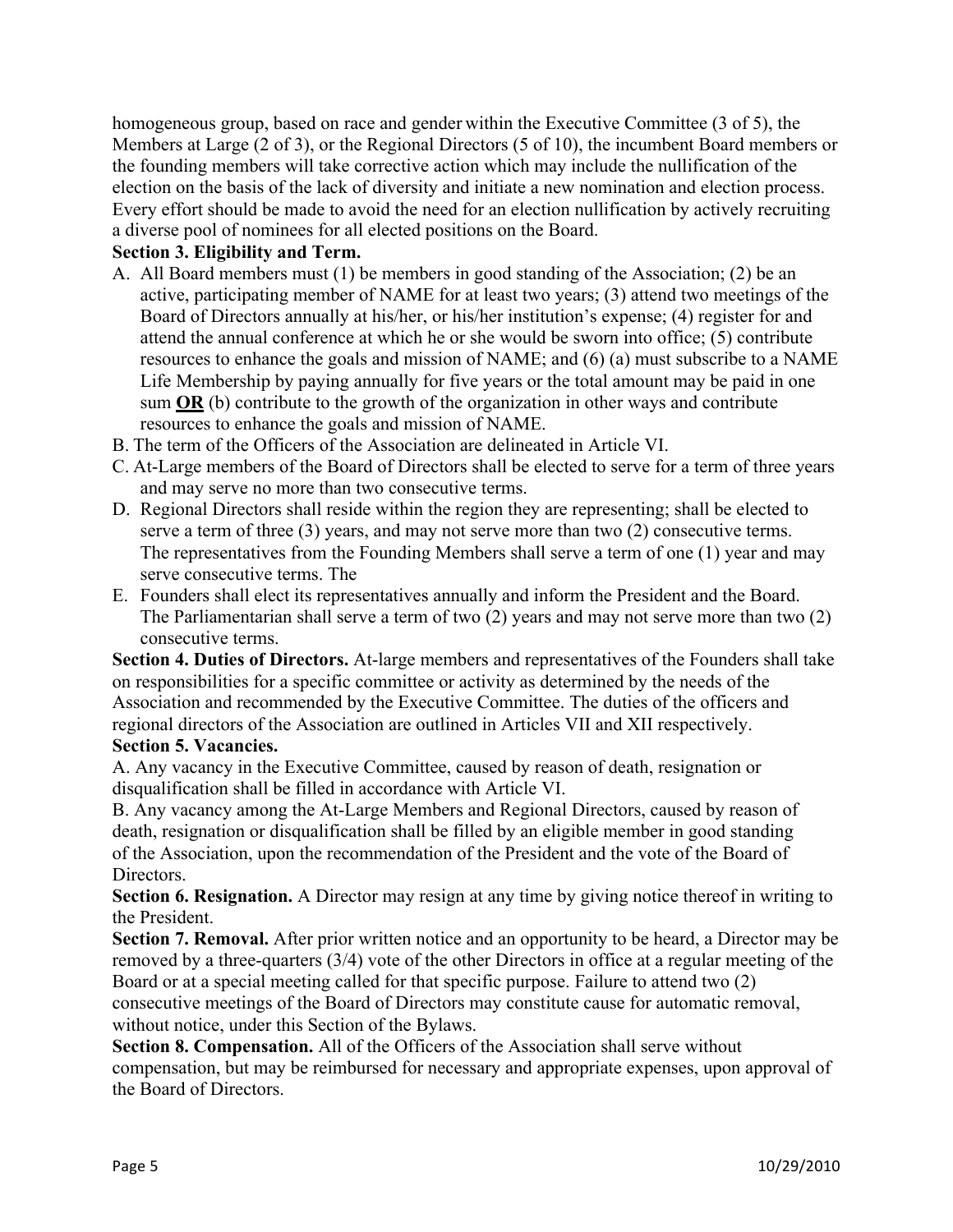homogeneous group, based on race and gender within the Executive Committee (3 of 5), the Members at Large (2 of 3), or the Regional Directors (5 of 10), the incumbent Board members or the founding members will take corrective action which may include the nullification of the election on the basis of the lack of diversity and initiate a new nomination and election process. Every effort should be made to avoid the need for an election nullification by actively recruiting a diverse pool of nominees for all elected positions on the Board.

### **Section 3. Eligibility and Term.**

- A. All Board members must (1) be members in good standing of the Association; (2) be an active, participating member of NAME for at least two years; (3) attend two meetings of the Board of Directors annually at his/her, or his/her institution's expense; (4) register for and attend the annual conference at which he or she would be sworn into office; (5) contribute resources to enhance the goals and mission of NAME; and (6) (a) must subscribe to a NAME Life Membership by paying annually for five years or the total amount may be paid in one sum **OR** (b) contribute to the growth of the organization in other ways and contribute resources to enhance the goals and mission of NAME.
- B. The term of the Officers of the Association are delineated in Article VI.
- C. At-Large members of the Board of Directors shall be elected to serve for a term of three years and may serve no more than two consecutive terms.
- D. Regional Directors shall reside within the region they are representing; shall be elected to serve a term of three (3) years, and may not serve more than two (2) consecutive terms. The representatives from the Founding Members shall serve a term of one (1) year and may serve consecutive terms. The
- E. Founders shall elect its representatives annually and inform the President and the Board. The Parliamentarian shall serve a term of two (2) years and may not serve more than two (2) consecutive terms.

**Section 4. Duties of Directors.** At-large members and representatives of the Founders shall take on responsibilities for a specific committee or activity as determined by the needs of the Association and recommended by the Executive Committee. The duties of the officers and regional directors of the Association are outlined in Articles VII and XII respectively. **Section 5. Vacancies.**

A. Any vacancy in the Executive Committee, caused by reason of death, resignation or disqualification shall be filled in accordance with Article VI.

B. Any vacancy among the At-Large Members and Regional Directors, caused by reason of death, resignation or disqualification shall be filled by an eligible member in good standing of the Association, upon the recommendation of the President and the vote of the Board of Directors.

**Section 6. Resignation.** A Director may resign at any time by giving notice thereof in writing to the President.

**Section 7. Removal.** After prior written notice and an opportunity to be heard, a Director may be removed by a three-quarters (3/4) vote of the other Directors in office at a regular meeting of the Board or at a special meeting called for that specific purpose. Failure to attend two (2) consecutive meetings of the Board of Directors may constitute cause for automatic removal, without notice, under this Section of the Bylaws.

**Section 8. Compensation.** All of the Officers of the Association shall serve without compensation, but may be reimbursed for necessary and appropriate expenses, upon approval of the Board of Directors.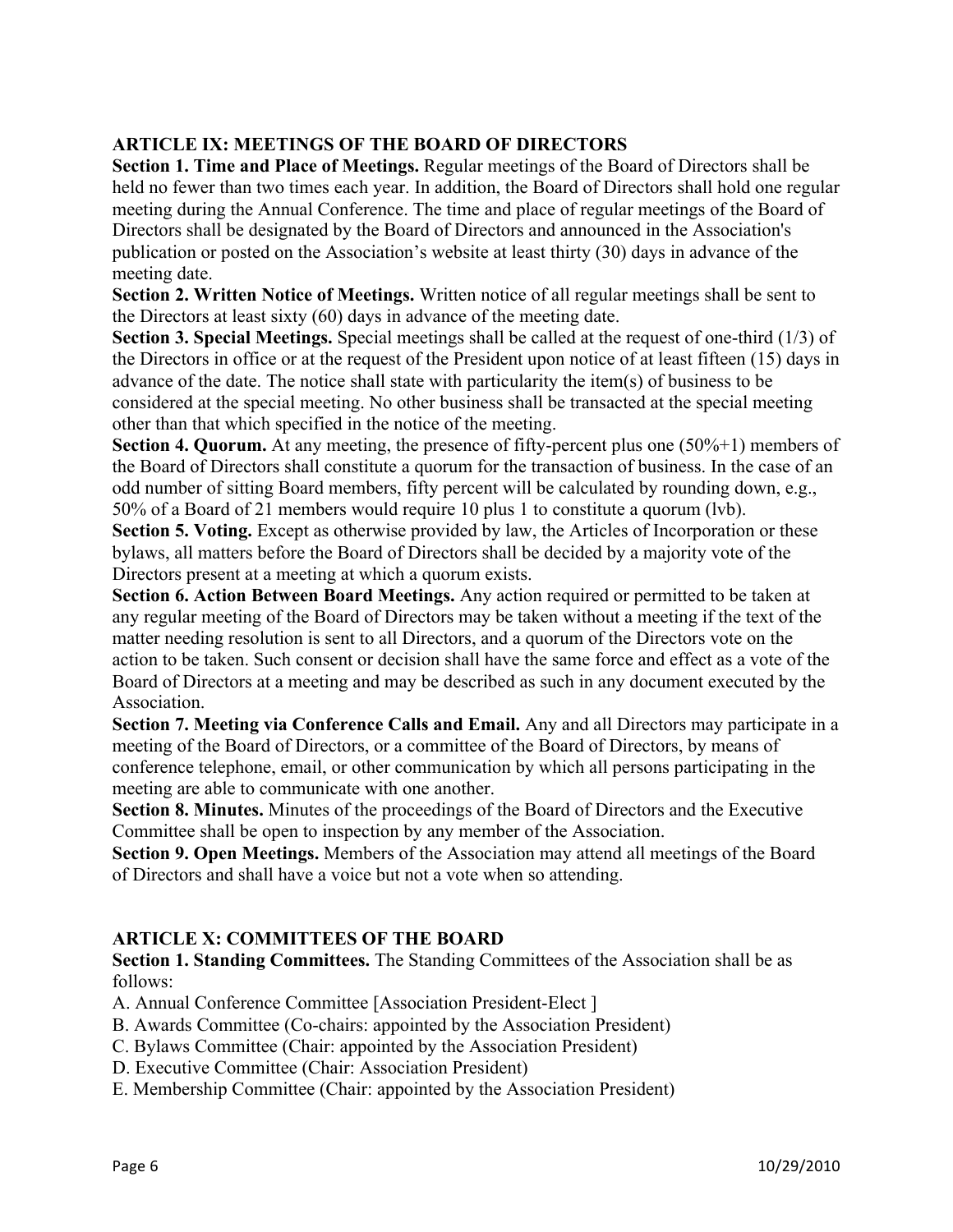# **ARTICLE IX: MEETINGS OF THE BOARD OF DIRECTORS**

**Section 1. Time and Place of Meetings.** Regular meetings of the Board of Directors shall be held no fewer than two times each year. In addition, the Board of Directors shall hold one regular meeting during the Annual Conference. The time and place of regular meetings of the Board of Directors shall be designated by the Board of Directors and announced in the Association's publication or posted on the Association's website at least thirty (30) days in advance of the meeting date.

**Section 2. Written Notice of Meetings.** Written notice of all regular meetings shall be sent to the Directors at least sixty (60) days in advance of the meeting date.

**Section 3. Special Meetings.** Special meetings shall be called at the request of one-third (1/3) of the Directors in office or at the request of the President upon notice of at least fifteen (15) days in advance of the date. The notice shall state with particularity the item(s) of business to be considered at the special meeting. No other business shall be transacted at the special meeting other than that which specified in the notice of the meeting.

**Section 4. Quorum.** At any meeting, the presence of fifty-percent plus one (50%+1) members of the Board of Directors shall constitute a quorum for the transaction of business. In the case of an odd number of sitting Board members, fifty percent will be calculated by rounding down, e.g., 50% of a Board of 21 members would require 10 plus 1 to constitute a quorum (lvb).

**Section 5. Voting.** Except as otherwise provided by law, the Articles of Incorporation or these bylaws, all matters before the Board of Directors shall be decided by a majority vote of the Directors present at a meeting at which a quorum exists.

**Section 6. Action Between Board Meetings.** Any action required or permitted to be taken at any regular meeting of the Board of Directors may be taken without a meeting if the text of the matter needing resolution is sent to all Directors, and a quorum of the Directors vote on the action to be taken. Such consent or decision shall have the same force and effect as a vote of the Board of Directors at a meeting and may be described as such in any document executed by the Association.

**Section 7. Meeting via Conference Calls and Email.** Any and all Directors may participate in a meeting of the Board of Directors, or a committee of the Board of Directors, by means of conference telephone, email, or other communication by which all persons participating in the meeting are able to communicate with one another.

**Section 8. Minutes.** Minutes of the proceedings of the Board of Directors and the Executive Committee shall be open to inspection by any member of the Association.

**Section 9. Open Meetings.** Members of the Association may attend all meetings of the Board of Directors and shall have a voice but not a vote when so attending.

## **ARTICLE X: COMMITTEES OF THE BOARD**

**Section 1. Standing Committees.** The Standing Committees of the Association shall be as follows:

A. Annual Conference Committee [Association President-Elect ]

- B. Awards Committee (Co-chairs: appointed by the Association President)
- C. Bylaws Committee (Chair: appointed by the Association President)
- D. Executive Committee (Chair: Association President)
- E. Membership Committee (Chair: appointed by the Association President)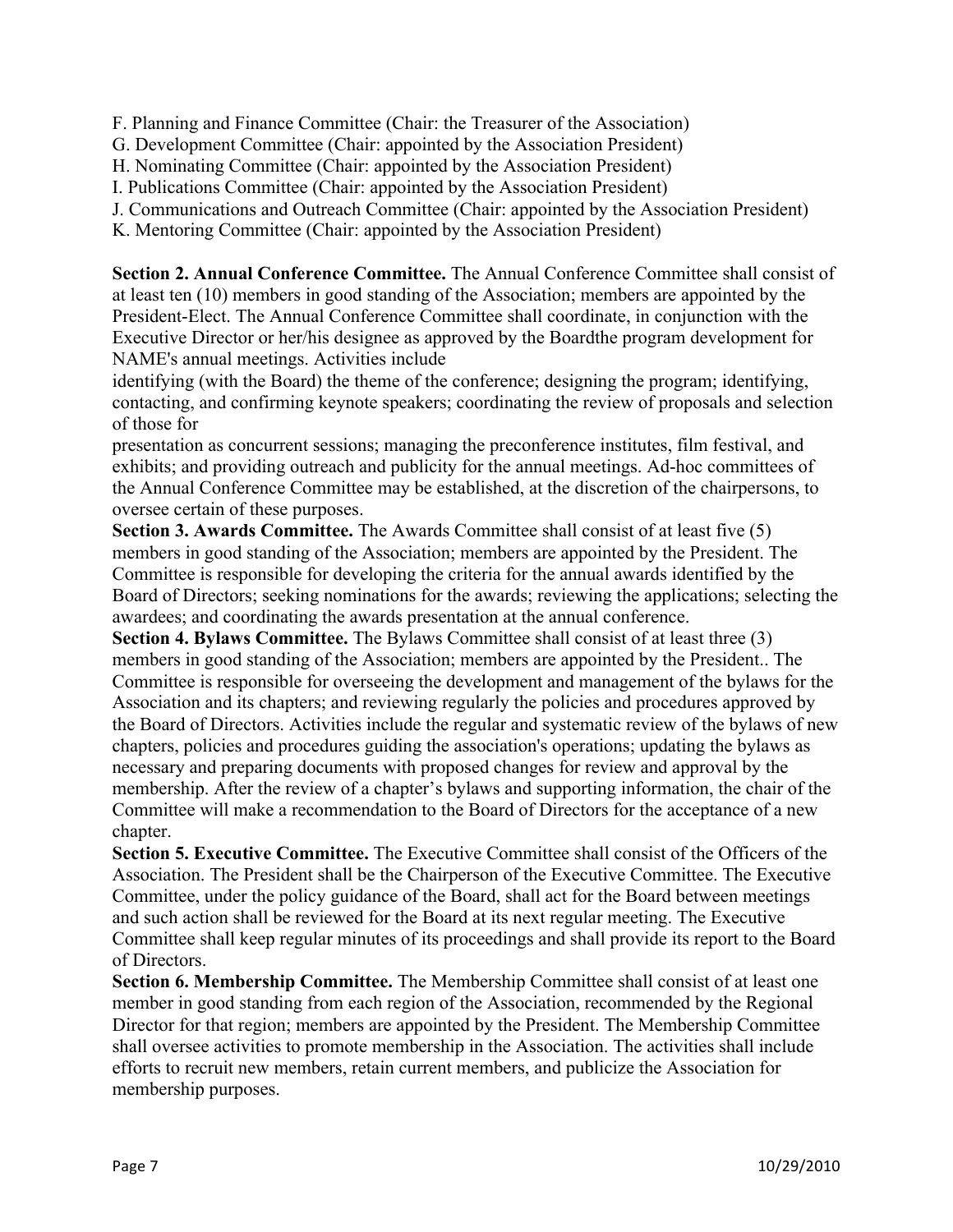F. Planning and Finance Committee (Chair: the Treasurer of the Association)

- G. Development Committee (Chair: appointed by the Association President)
- H. Nominating Committee (Chair: appointed by the Association President)
- I. Publications Committee (Chair: appointed by the Association President)
- J. Communications and Outreach Committee (Chair: appointed by the Association President)
- K. Mentoring Committee (Chair: appointed by the Association President)

**Section 2. Annual Conference Committee.** The Annual Conference Committee shall consist of at least ten (10) members in good standing of the Association; members are appointed by the President-Elect. The Annual Conference Committee shall coordinate, in conjunction with the Executive Director or her/his designee as approved by the Boardthe program development for NAME's annual meetings. Activities include

identifying (with the Board) the theme of the conference; designing the program; identifying, contacting, and confirming keynote speakers; coordinating the review of proposals and selection of those for

presentation as concurrent sessions; managing the preconference institutes, film festival, and exhibits; and providing outreach and publicity for the annual meetings. Ad-hoc committees of the Annual Conference Committee may be established, at the discretion of the chairpersons, to oversee certain of these purposes.

**Section 3. Awards Committee.** The Awards Committee shall consist of at least five (5) members in good standing of the Association; members are appointed by the President. The Committee is responsible for developing the criteria for the annual awards identified by the Board of Directors; seeking nominations for the awards; reviewing the applications; selecting the awardees; and coordinating the awards presentation at the annual conference.

**Section 4. Bylaws Committee.** The Bylaws Committee shall consist of at least three (3) members in good standing of the Association; members are appointed by the President.. The Committee is responsible for overseeing the development and management of the bylaws for the Association and its chapters; and reviewing regularly the policies and procedures approved by the Board of Directors. Activities include the regular and systematic review of the bylaws of new chapters, policies and procedures guiding the association's operations; updating the bylaws as necessary and preparing documents with proposed changes for review and approval by the membership. After the review of a chapter's bylaws and supporting information, the chair of the Committee will make a recommendation to the Board of Directors for the acceptance of a new chapter.

**Section 5. Executive Committee.** The Executive Committee shall consist of the Officers of the Association. The President shall be the Chairperson of the Executive Committee. The Executive Committee, under the policy guidance of the Board, shall act for the Board between meetings and such action shall be reviewed for the Board at its next regular meeting. The Executive Committee shall keep regular minutes of its proceedings and shall provide its report to the Board of Directors.

**Section 6. Membership Committee.** The Membership Committee shall consist of at least one member in good standing from each region of the Association, recommended by the Regional Director for that region; members are appointed by the President. The Membership Committee shall oversee activities to promote membership in the Association. The activities shall include efforts to recruit new members, retain current members, and publicize the Association for membership purposes.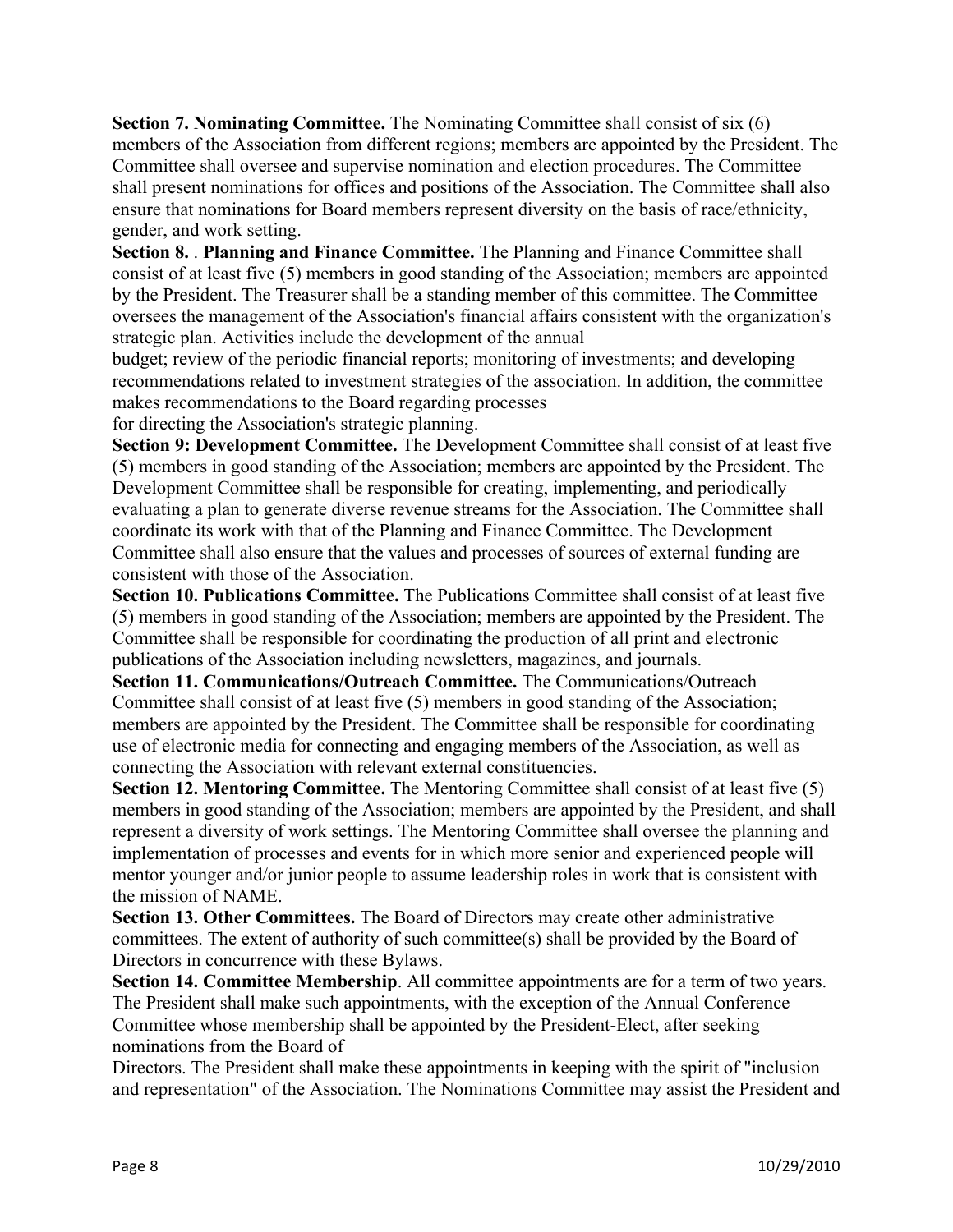**Section 7. Nominating Committee.** The Nominating Committee shall consist of six (6) members of the Association from different regions; members are appointed by the President. The Committee shall oversee and supervise nomination and election procedures. The Committee shall present nominations for offices and positions of the Association. The Committee shall also ensure that nominations for Board members represent diversity on the basis of race/ethnicity, gender, and work setting.

**Section 8.** . **Planning and Finance Committee.** The Planning and Finance Committee shall consist of at least five (5) members in good standing of the Association; members are appointed by the President. The Treasurer shall be a standing member of this committee. The Committee oversees the management of the Association's financial affairs consistent with the organization's strategic plan. Activities include the development of the annual

budget; review of the periodic financial reports; monitoring of investments; and developing recommendations related to investment strategies of the association. In addition, the committee makes recommendations to the Board regarding processes

for directing the Association's strategic planning.

**Section 9: Development Committee.** The Development Committee shall consist of at least five (5) members in good standing of the Association; members are appointed by the President. The Development Committee shall be responsible for creating, implementing, and periodically evaluating a plan to generate diverse revenue streams for the Association. The Committee shall coordinate its work with that of the Planning and Finance Committee. The Development Committee shall also ensure that the values and processes of sources of external funding are consistent with those of the Association.

**Section 10. Publications Committee.** The Publications Committee shall consist of at least five (5) members in good standing of the Association; members are appointed by the President. The Committee shall be responsible for coordinating the production of all print and electronic publications of the Association including newsletters, magazines, and journals.

**Section 11. Communications/Outreach Committee.** The Communications/Outreach Committee shall consist of at least five (5) members in good standing of the Association; members are appointed by the President. The Committee shall be responsible for coordinating use of electronic media for connecting and engaging members of the Association, as well as connecting the Association with relevant external constituencies.

**Section 12. Mentoring Committee.** The Mentoring Committee shall consist of at least five (5) members in good standing of the Association; members are appointed by the President, and shall represent a diversity of work settings. The Mentoring Committee shall oversee the planning and implementation of processes and events for in which more senior and experienced people will mentor younger and/or junior people to assume leadership roles in work that is consistent with the mission of NAME.

**Section 13. Other Committees.** The Board of Directors may create other administrative committees. The extent of authority of such committee(s) shall be provided by the Board of Directors in concurrence with these Bylaws.

**Section 14. Committee Membership**. All committee appointments are for a term of two years. The President shall make such appointments, with the exception of the Annual Conference Committee whose membership shall be appointed by the President-Elect, after seeking nominations from the Board of

Directors. The President shall make these appointments in keeping with the spirit of "inclusion and representation" of the Association. The Nominations Committee may assist the President and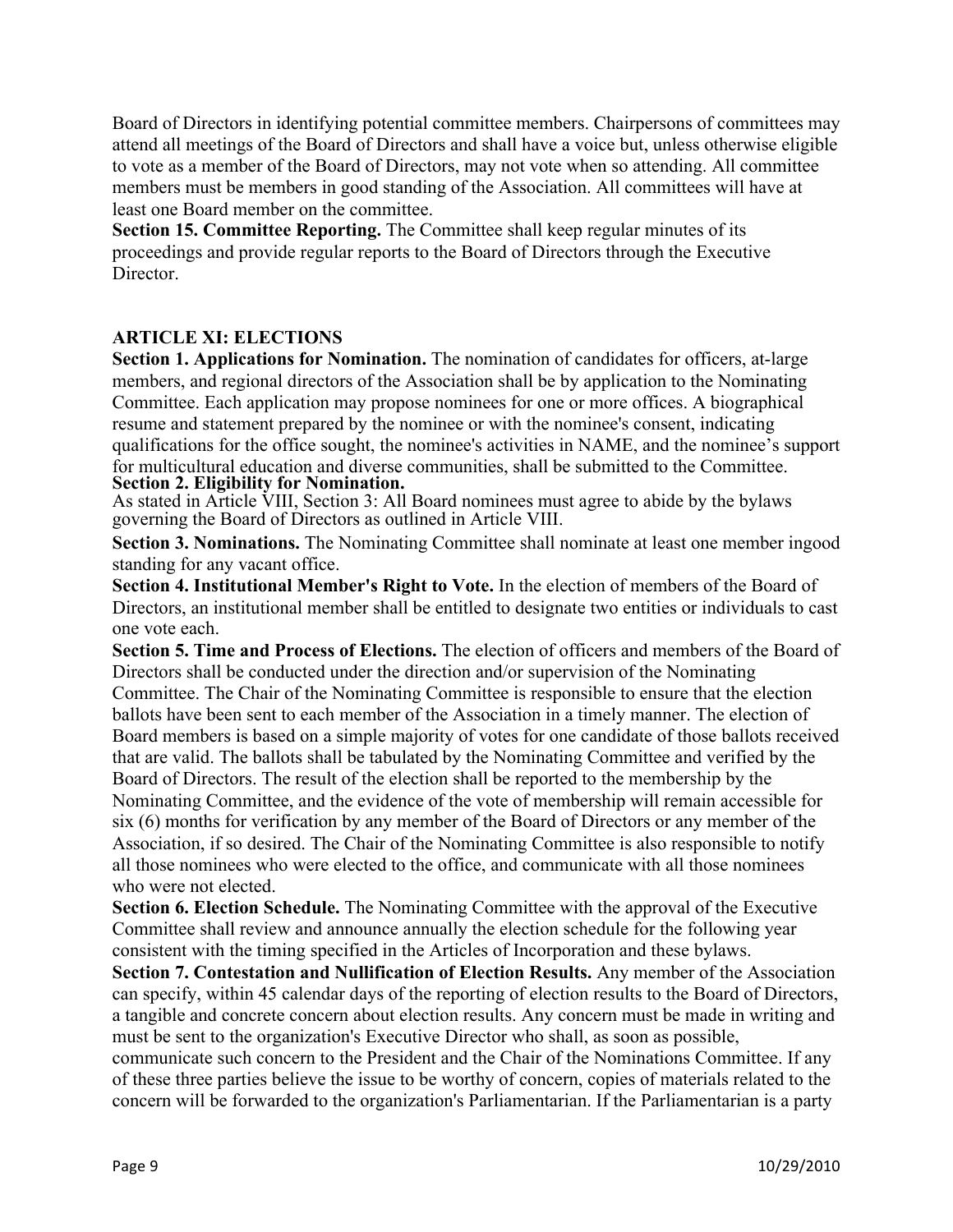Board of Directors in identifying potential committee members. Chairpersons of committees may attend all meetings of the Board of Directors and shall have a voice but, unless otherwise eligible to vote as a member of the Board of Directors, may not vote when so attending. All committee members must be members in good standing of the Association. All committees will have at least one Board member on the committee.

**Section 15. Committee Reporting.** The Committee shall keep regular minutes of its proceedings and provide regular reports to the Board of Directors through the Executive Director.

# **ARTICLE XI: ELECTIONS**

**Section 1. Applications for Nomination.** The nomination of candidates for officers, at-large members, and regional directors of the Association shall be by application to the Nominating Committee. Each application may propose nominees for one or more offices. A biographical resume and statement prepared by the nominee or with the nominee's consent, indicating qualifications for the office sought, the nominee's activities in NAME, and the nominee's support for multicultural education and diverse communities, shall be submitted to the Committee. **Section 2. Eligibility for Nomination.** 

As stated in Article VIII, Section 3: All Board nominees must agree to abide by the bylaws governing the Board of Directors as outlined in Article VIII.

**Section 3. Nominations.** The Nominating Committee shall nominate at least one member ingood standing for any vacant office.

**Section 4. Institutional Member's Right to Vote.** In the election of members of the Board of Directors, an institutional member shall be entitled to designate two entities or individuals to cast one vote each.

**Section 5. Time and Process of Elections.** The election of officers and members of the Board of Directors shall be conducted under the direction and/or supervision of the Nominating Committee. The Chair of the Nominating Committee is responsible to ensure that the election ballots have been sent to each member of the Association in a timely manner. The election of Board members is based on a simple majority of votes for one candidate of those ballots received that are valid. The ballots shall be tabulated by the Nominating Committee and verified by the Board of Directors. The result of the election shall be reported to the membership by the Nominating Committee, and the evidence of the vote of membership will remain accessible for six (6) months for verification by any member of the Board of Directors or any member of the Association, if so desired. The Chair of the Nominating Committee is also responsible to notify all those nominees who were elected to the office, and communicate with all those nominees who were not elected.

**Section 6. Election Schedule.** The Nominating Committee with the approval of the Executive Committee shall review and announce annually the election schedule for the following year consistent with the timing specified in the Articles of Incorporation and these bylaws.

**Section 7. Contestation and Nullification of Election Results.** Any member of the Association can specify, within 45 calendar days of the reporting of election results to the Board of Directors, a tangible and concrete concern about election results. Any concern must be made in writing and must be sent to the organization's Executive Director who shall, as soon as possible,

communicate such concern to the President and the Chair of the Nominations Committee. If any of these three parties believe the issue to be worthy of concern, copies of materials related to the concern will be forwarded to the organization's Parliamentarian. If the Parliamentarian is a party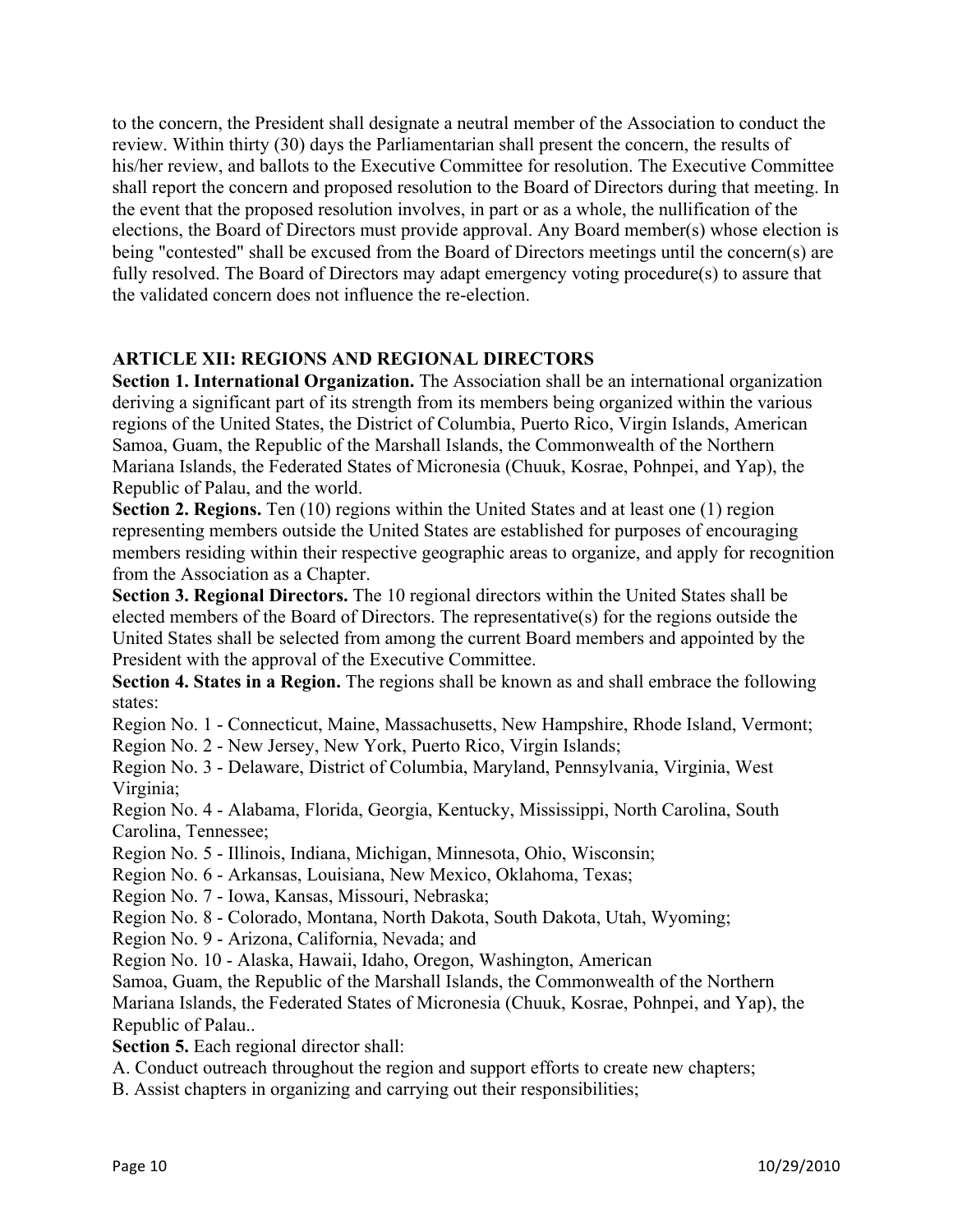to the concern, the President shall designate a neutral member of the Association to conduct the review. Within thirty (30) days the Parliamentarian shall present the concern, the results of his/her review, and ballots to the Executive Committee for resolution. The Executive Committee shall report the concern and proposed resolution to the Board of Directors during that meeting. In the event that the proposed resolution involves, in part or as a whole, the nullification of the elections, the Board of Directors must provide approval. Any Board member(s) whose election is being "contested" shall be excused from the Board of Directors meetings until the concern(s) are fully resolved. The Board of Directors may adapt emergency voting procedure(s) to assure that the validated concern does not influence the re-election.

# **ARTICLE XII: REGIONS AND REGIONAL DIRECTORS**

**Section 1. International Organization.** The Association shall be an international organization deriving a significant part of its strength from its members being organized within the various regions of the United States, the District of Columbia, Puerto Rico, Virgin Islands, American Samoa, Guam, the Republic of the Marshall Islands, the Commonwealth of the Northern Mariana Islands, the Federated States of Micronesia (Chuuk, Kosrae, Pohnpei, and Yap), the Republic of Palau, and the world.

**Section 2. Regions.** Ten (10) regions within the United States and at least one (1) region representing members outside the United States are established for purposes of encouraging members residing within their respective geographic areas to organize, and apply for recognition from the Association as a Chapter.

**Section 3. Regional Directors.** The 10 regional directors within the United States shall be elected members of the Board of Directors. The representative(s) for the regions outside the United States shall be selected from among the current Board members and appointed by the President with the approval of the Executive Committee.

**Section 4. States in a Region.** The regions shall be known as and shall embrace the following states:

Region No. 1 - Connecticut, Maine, Massachusetts, New Hampshire, Rhode Island, Vermont;

Region No. 2 - New Jersey, New York, Puerto Rico, Virgin Islands;

Region No. 3 - Delaware, District of Columbia, Maryland, Pennsylvania, Virginia, West Virginia;

Region No. 4 - Alabama, Florida, Georgia, Kentucky, Mississippi, North Carolina, South Carolina, Tennessee;

Region No. 5 - Illinois, Indiana, Michigan, Minnesota, Ohio, Wisconsin;

Region No. 6 - Arkansas, Louisiana, New Mexico, Oklahoma, Texas;

Region No. 7 - Iowa, Kansas, Missouri, Nebraska;

Region No. 8 - Colorado, Montana, North Dakota, South Dakota, Utah, Wyoming;

Region No. 9 - Arizona, California, Nevada; and

Region No. 10 - Alaska, Hawaii, Idaho, Oregon, Washington, American

Samoa, Guam, the Republic of the Marshall Islands, the Commonwealth of the Northern Mariana Islands, the Federated States of Micronesia (Chuuk, Kosrae, Pohnpei, and Yap), the Republic of Palau..

**Section 5.** Each regional director shall:

A. Conduct outreach throughout the region and support efforts to create new chapters;

B. Assist chapters in organizing and carrying out their responsibilities;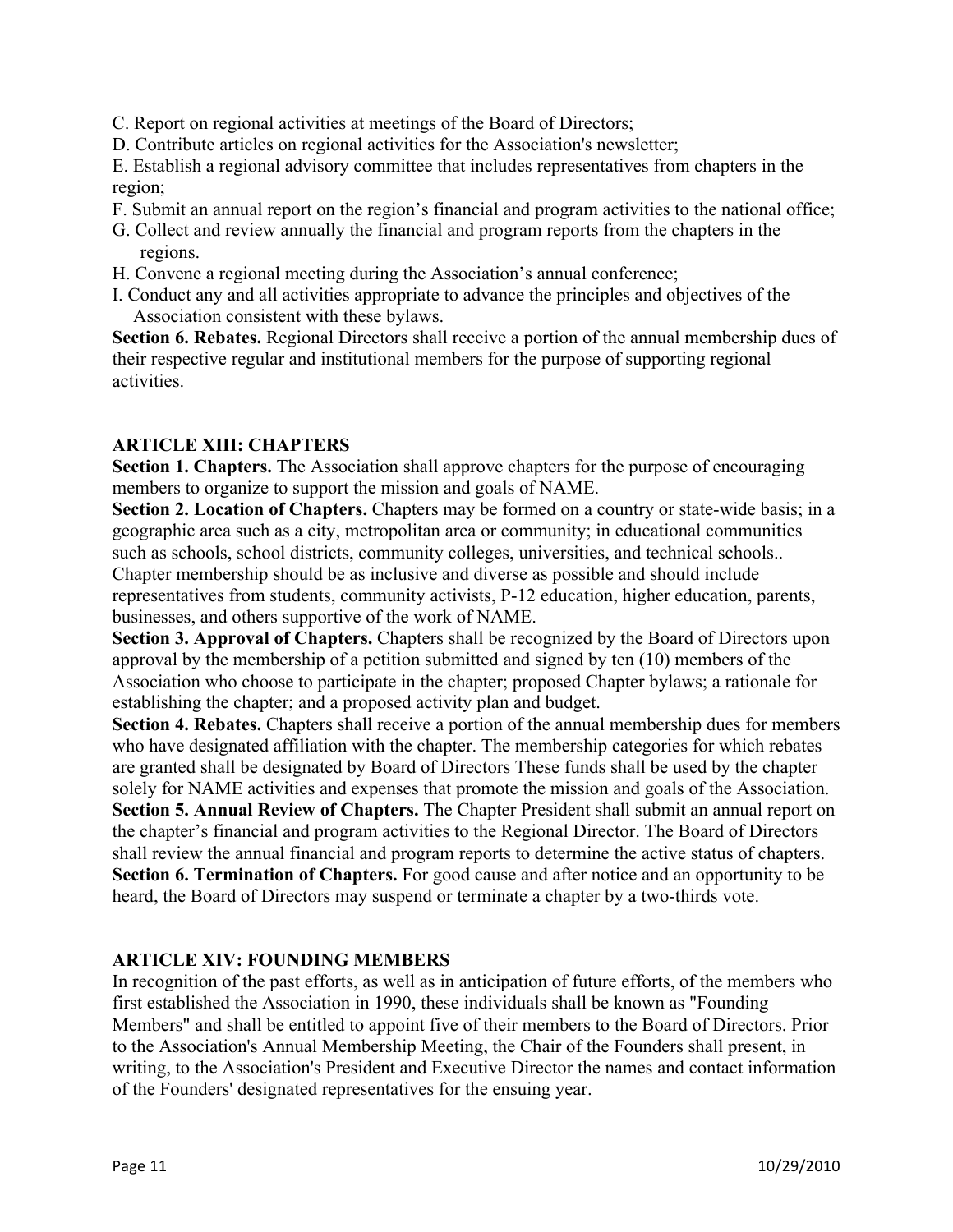- C. Report on regional activities at meetings of the Board of Directors;
- D. Contribute articles on regional activities for the Association's newsletter;

E. Establish a regional advisory committee that includes representatives from chapters in the region;

- F. Submit an annual report on the region's financial and program activities to the national office;
- G. Collect and review annually the financial and program reports from the chapters in the regions.
- H. Convene a regional meeting during the Association's annual conference;
- I. Conduct any and all activities appropriate to advance the principles and objectives of the Association consistent with these bylaws.

**Section 6. Rebates.** Regional Directors shall receive a portion of the annual membership dues of their respective regular and institutional members for the purpose of supporting regional activities.

## **ARTICLE XIII: CHAPTERS**

**Section 1. Chapters.** The Association shall approve chapters for the purpose of encouraging members to organize to support the mission and goals of NAME.

**Section 2. Location of Chapters.** Chapters may be formed on a country or state-wide basis; in a geographic area such as a city, metropolitan area or community; in educational communities such as schools, school districts, community colleges, universities, and technical schools.. Chapter membership should be as inclusive and diverse as possible and should include representatives from students, community activists, P-12 education, higher education, parents, businesses, and others supportive of the work of NAME.

**Section 3. Approval of Chapters.** Chapters shall be recognized by the Board of Directors upon approval by the membership of a petition submitted and signed by ten (10) members of the Association who choose to participate in the chapter; proposed Chapter bylaws; a rationale for establishing the chapter; and a proposed activity plan and budget.

**Section 4. Rebates.** Chapters shall receive a portion of the annual membership dues for members who have designated affiliation with the chapter. The membership categories for which rebates are granted shall be designated by Board of Directors These funds shall be used by the chapter solely for NAME activities and expenses that promote the mission and goals of the Association. **Section 5. Annual Review of Chapters.** The Chapter President shall submit an annual report on the chapter's financial and program activities to the Regional Director. The Board of Directors shall review the annual financial and program reports to determine the active status of chapters. **Section 6. Termination of Chapters.** For good cause and after notice and an opportunity to be heard, the Board of Directors may suspend or terminate a chapter by a two-thirds vote.

## **ARTICLE XIV: FOUNDING MEMBERS**

In recognition of the past efforts, as well as in anticipation of future efforts, of the members who first established the Association in 1990, these individuals shall be known as "Founding Members" and shall be entitled to appoint five of their members to the Board of Directors. Prior to the Association's Annual Membership Meeting, the Chair of the Founders shall present, in writing, to the Association's President and Executive Director the names and contact information of the Founders' designated representatives for the ensuing year.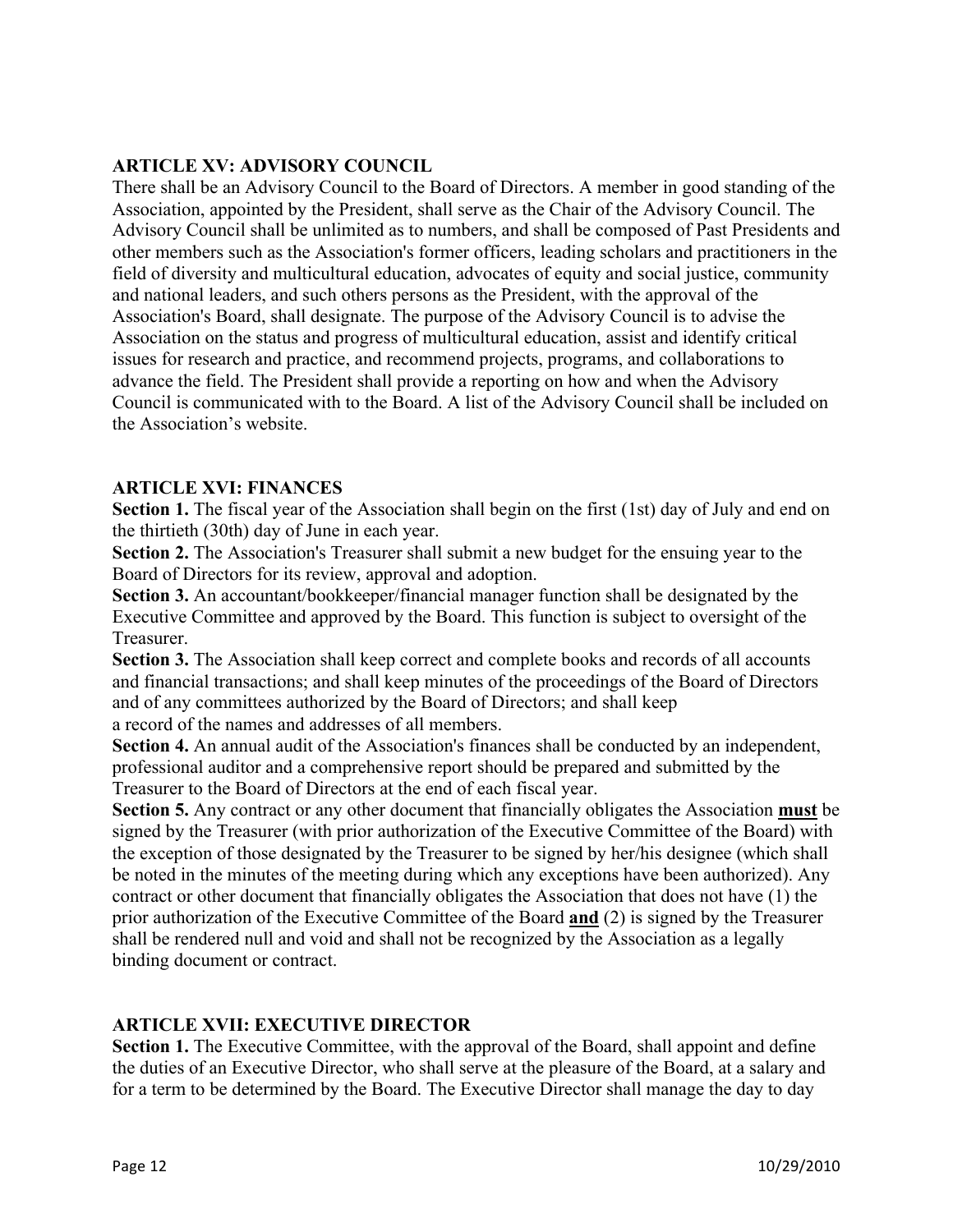### **ARTICLE XV: ADVISORY COUNCIL**

There shall be an Advisory Council to the Board of Directors. A member in good standing of the Association, appointed by the President, shall serve as the Chair of the Advisory Council. The Advisory Council shall be unlimited as to numbers, and shall be composed of Past Presidents and other members such as the Association's former officers, leading scholars and practitioners in the field of diversity and multicultural education, advocates of equity and social justice, community and national leaders, and such others persons as the President, with the approval of the Association's Board, shall designate. The purpose of the Advisory Council is to advise the Association on the status and progress of multicultural education, assist and identify critical issues for research and practice, and recommend projects, programs, and collaborations to advance the field. The President shall provide a reporting on how and when the Advisory Council is communicated with to the Board. A list of the Advisory Council shall be included on the Association's website.

### **ARTICLE XVI: FINANCES**

Section 1. The fiscal year of the Association shall begin on the first (1st) day of July and end on the thirtieth (30th) day of June in each year.

**Section 2.** The Association's Treasurer shall submit a new budget for the ensuing year to the Board of Directors for its review, approval and adoption.

**Section 3.** An accountant/bookkeeper/financial manager function shall be designated by the Executive Committee and approved by the Board. This function is subject to oversight of the Treasurer.

Section 3. The Association shall keep correct and complete books and records of all accounts and financial transactions; and shall keep minutes of the proceedings of the Board of Directors and of any committees authorized by the Board of Directors; and shall keep

a record of the names and addresses of all members.

**Section 4.** An annual audit of the Association's finances shall be conducted by an independent, professional auditor and a comprehensive report should be prepared and submitted by the Treasurer to the Board of Directors at the end of each fiscal year.

**Section 5.** Any contract or any other document that financially obligates the Association **must** be signed by the Treasurer (with prior authorization of the Executive Committee of the Board) with the exception of those designated by the Treasurer to be signed by her/his designee (which shall be noted in the minutes of the meeting during which any exceptions have been authorized). Any contract or other document that financially obligates the Association that does not have (1) the prior authorization of the Executive Committee of the Board **and** (2) is signed by the Treasurer shall be rendered null and void and shall not be recognized by the Association as a legally binding document or contract.

#### **ARTICLE XVII: EXECUTIVE DIRECTOR**

**Section 1.** The Executive Committee, with the approval of the Board, shall appoint and define the duties of an Executive Director, who shall serve at the pleasure of the Board, at a salary and for a term to be determined by the Board. The Executive Director shall manage the day to day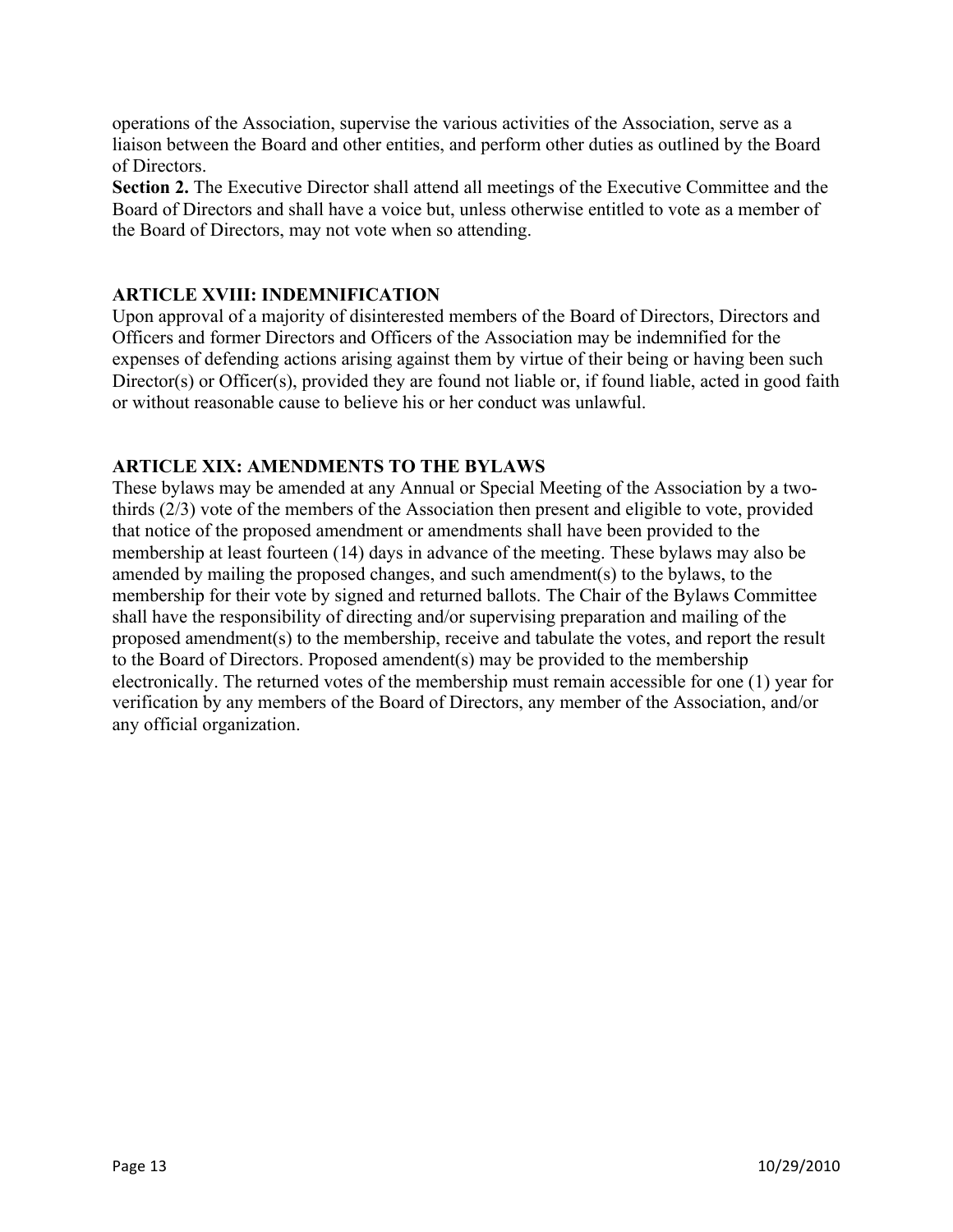operations of the Association, supervise the various activities of the Association, serve as a liaison between the Board and other entities, and perform other duties as outlined by the Board of Directors.

**Section 2.** The Executive Director shall attend all meetings of the Executive Committee and the Board of Directors and shall have a voice but, unless otherwise entitled to vote as a member of the Board of Directors, may not vote when so attending.

## **ARTICLE XVIII: INDEMNIFICATION**

Upon approval of a majority of disinterested members of the Board of Directors, Directors and Officers and former Directors and Officers of the Association may be indemnified for the expenses of defending actions arising against them by virtue of their being or having been such Director(s) or Officer(s), provided they are found not liable or, if found liable, acted in good faith or without reasonable cause to believe his or her conduct was unlawful.

## **ARTICLE XIX: AMENDMENTS TO THE BYLAWS**

These bylaws may be amended at any Annual or Special Meeting of the Association by a twothirds (2/3) vote of the members of the Association then present and eligible to vote, provided that notice of the proposed amendment or amendments shall have been provided to the membership at least fourteen (14) days in advance of the meeting. These bylaws may also be amended by mailing the proposed changes, and such amendment(s) to the bylaws, to the membership for their vote by signed and returned ballots. The Chair of the Bylaws Committee shall have the responsibility of directing and/or supervising preparation and mailing of the proposed amendment(s) to the membership, receive and tabulate the votes, and report the result to the Board of Directors. Proposed amendent(s) may be provided to the membership electronically. The returned votes of the membership must remain accessible for one (1) year for verification by any members of the Board of Directors, any member of the Association, and/or any official organization.